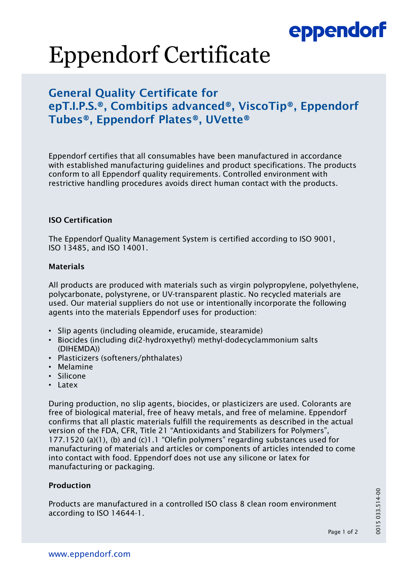## eppendorf

# Eppendorf Certificate

### General Quality Certificate for epT.I.P.S.®, Combitips advanced®, ViscoTip®, Eppendorf Tubes®, Eppendorf Plates®, UVette®

Eppendorf certifies that all consumables have been manufactured in accordance with established manufacturing guidelines and product specifications. The products conform to all Eppendorf quality requirements. Controlled environment with restrictive handling procedures avoids direct human contact with the products.

### ISO Certification

The Eppendorf Quality Management System is certified according to ISO 9001, ISO 13485, and ISO 14001.

### Materials

All products are produced with materials such as virgin polypropylene, polyethylene, polycarbonate, polystyrene, or UV-transparent plastic. No recycled materials are used. Our material suppliers do not use or intentionally incorporate the following agents into the materials Eppendorf uses for production:

- Slip agents (including oleamide, erucamide, stearamide)
- Biocides (including di(2-hydroxyethyl) methyl-dodecyclammonium salts (DIHEMDA))
- Plasticizers (softeners/phthalates)
- Melamine
- Silicone
- Latex

During production, no slip agents, biocides, or plasticizers are used. Colorants are free of biological material, free of heavy metals, and free of melamine. Eppendorf confirms that all plastic materials fulfill the requirements as described in the actual version of the FDA, CFR, Title 21 "Antioxidants and Stabilizers for Polymers", 177.1520 (a)(1), (b) and (c)1.1 "Olefin polymers" regarding substances used for manufacturing of materials and articles or components of articles intended to come into contact with food. Eppendorf does not use any silicone or latex for manufacturing or packaging.

### Production

Products are manufactured in a controlled ISO class 8 clean room environment according to ISO 14644-1.